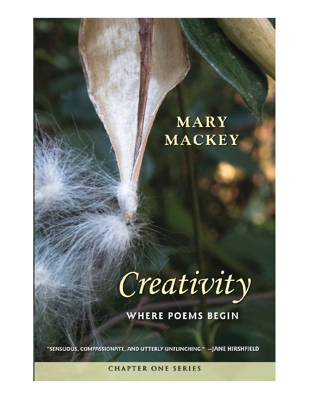# **MARY MACKEY**

Creativity

**WHERE POEMS BEGIN** 

"SENSUOUS, COMPASSIONATE, AND UTTERLY UNFLINCHING." - JANE HIRSHFIELD

**CHAPTER ONE SERIES**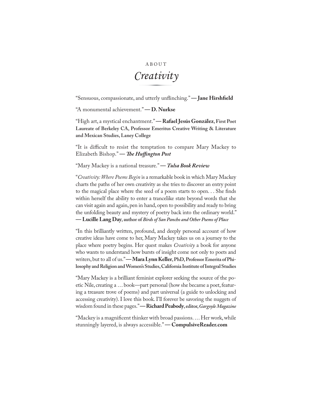#### A B O U T

# Creativity ¦reativit<u>∙</u>

"Sensuous, compassionate, and utterly unflinching." **— Jane Hirshfield**

"A monumental achievement." **— D. Nurkse**

"High art, a mystical enchantment." **— Rafael Jesús González, First Poet Laureate of Berkeley CA, Professor Emeritus Creative Writing & Literature and Mexican Studies, Laney College**

"It is difficult to resist the temptation to compare Mary Mackey to Elizabeth Bishop." **—** *The Huffington Post*

#### "Mary Mackey is a national treasure." **—** *Tulsa Book Review*

"*Creativity: Where Poems Begin* is a remarkable book in which Mary Mackey charts the paths of her own creativity as she tries to discover an entry point to the magical place where the seed of a poem starts to open. . . She finds within herself the ability to enter a trancelike state beyond words that she can visit again and again, pen in hand, open to possibility and ready to bring the unfolding beauty and mystery of poetry back into the ordinary world." **— Lucille Lang Day, author of** *Birds of San Pancho and Other Poems of Place*

"In this brilliantly written, profound, and deeply personal account of how creative ideas have come to her, Mary Mackey takes us on a journey to the place where poetry begins. Her quest makes *Creativity* a book for anyone who wants to understand how bursts of insight come not only to poets and writers, but to all of us." **— Mara Lynn Keller, PhD, Professor Emerita of Philosophy and Religion and Women's Studies, California Institute of Integral Studies**

"Mary Mackey is a brilliant feminist explorer seeking the source of the poetic Nile, creating a … book—part personal (how she became a poet, featuring a treasure trove of poems) and part universal (a guide to unlocking and accessing creativity). I love this book. I'll forever be savoring the nuggets of wisdom found in these pages." **— Richard Peabody, editor,** *Gargoyle Magazine*

"Mackey is a magnificent thinker with broad passions. … Her work, while stunningly layered, is always accessible." **— CompulsiveReader.com**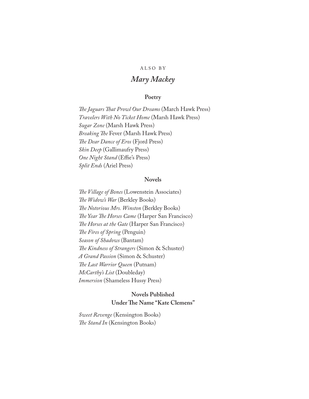#### ALSO BY

### *Mary Mackey*

#### **Poetry**

*The Jaguars That Prowl Our Dreams* (March Hawk Press) *Travelers With No Ticket Home* (Marsh Hawk Press) *Sugar Zone* (Marsh Hawk Press) *Breaking The* Fever (Marsh Hawk Press) *The Dear Dance of Eros* (Fjord Press) *Skin Deep* (Gallimaufry Press) *One Night Stand* (Effie's Press) *Split Ends* (Ariel Press)

#### **Novels**

*The Village of Bones* (Lowenstein Associates) *The Widow's War* (Berkley Books) *The Notorious Mrs. Winston* (Berkley Books) *The Year The Horses Came* (Harper San Francisco) *The Horses at the Gate* (Harper San Francisco) *The Fires of Spring* (Penguin) *Season of Shadows* (Bantam) *The Kindness of Strangers* (Simon & Schuster) *A Grand Passion* (Simon & Schuster) *The Last Warrior Queen* (Putnam) *McCarthy's List* (Doubleday) *Immersion* (Shameless Hussy Press)

#### **Novels Published Under The Name "Kate Clemens"**

*Sweet Revenge* (Kensington Books) *The Stand In* (Kensington Books)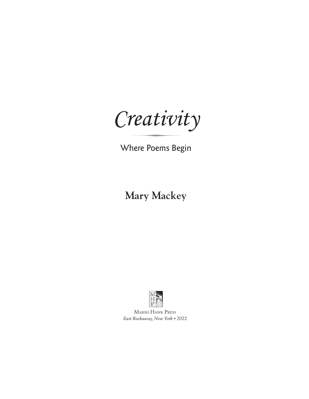Creativity

Where Poems Begin

**Mary Mackey**



MARSH HAWK PRESS *East Rockaway, New York •* 2022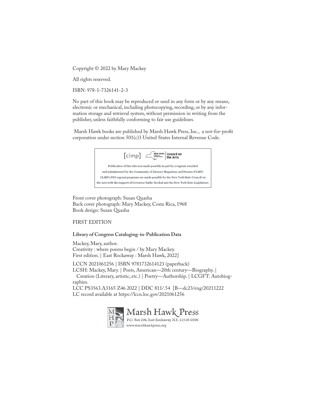Copyright © 2022 by Mary Mackey

All rights reserved.

ISBN: 978-1-7326141-2-3

No part of this book may be reproduced or used in any form or by any means, electronic or mechanical, including photocopying, recording, or by any information storage and retrieval system, without permission in writing from the publisher, unless faithfully conforming to fair use guidelines.

 Marsh Hawk books are published by Marsh Hawk Press, Inc., a not-for-profit corporation under section 501(c)3 United States Internal Revenue Code.



and administered by the Community of Literary Magazines and Presses (CLMP). CLMP's NYS regrant programs are made possible by the New York State Council on the Arts with the support of Governor Kathy Hochul and the New York State Legislature.

Front cover photograph: Susan Quasha Back cover photograph: Mary Mackey, Costa Rica, 1968 Book design: Susan Quasha

#### FIRST EDITION

#### **Library of Congress Cataloging-in-Publication Data**

Mackey, Mary, author. Creativity : where poems begin / by Mary Mackey. First edition. | East Rockaway : Marsh Hawk, 2022]

LCCN 2021061256 | ISBN 9781732614123 (paperback) LCSH: Mackey, Mary. | Poets, American—20th century—Biography. | Creation (Literary, artistic, etc.) | Poetry—Authorship. | LCGFT: Autobiographies. LCC PS3563.A3165 Z46 2022 | DDC 811/.54 [B—dc23/eng/20211222

LC record available at https://lccn.loc.gov/2021061256

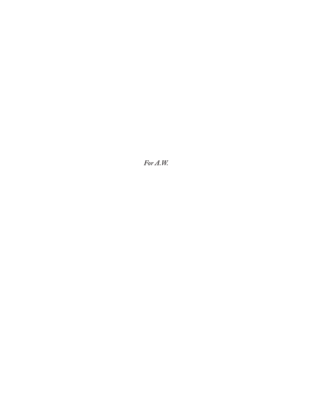*For A.W.*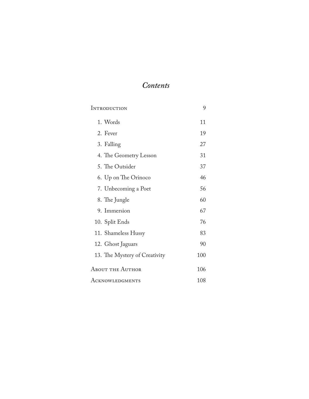# *Contents*

| INTRODUCTION                  | 9   |
|-------------------------------|-----|
| 1. Words                      | 11  |
| 2. Fever                      | 19  |
| 3. Falling                    | 27  |
| 4. The Geometry Lesson        | 31  |
| 5. The Outsider               | 37  |
| 6. Up on The Orinoco          | 46  |
| 7. Unbecoming a Poet          | 56  |
| 8. The Jungle                 | 60  |
| 9. Immersion                  | 67  |
| 10. Split Ends                | 76  |
| 11. Shameless Hussy           | 83  |
| 12. Ghost Jaguars             | 90  |
| 13. The Mystery of Creativity | 100 |
| <b>ABOUT THE AUTHOR</b>       | 106 |
| ACKNOWLEDGMENTS               | 108 |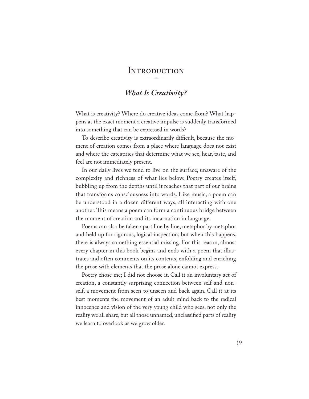## INTRODUCTION

## *What Is Creativity?*

What is creativity? Where do creative ideas come from? What happens at the exact moment a creative impulse is suddenly transformed into something that can be expressed in words?

To describe creativity is extraordinarily difficult, because the moment of creation comes from a place where language does not exist and where the categories that determine what we see, hear, taste, and feel are not immediately present.

In our daily lives we tend to live on the surface, unaware of the complexity and richness of what lies below. Poetry creates itself, bubbling up from the depths until it reaches that part of our brains that transforms consciousness into words. Like music, a poem can be understood in a dozen different ways, all interacting with one another. This means a poem can form a continuous bridge between the moment of creation and its incarnation in language.

Poems can also be taken apart line by line, metaphor by metaphor and held up for rigorous, logical inspection; but when this happens, there is always something essential missing. For this reason, almost every chapter in this book begins and ends with a poem that illustrates and often comments on its contents, enfolding and enriching the prose with elements that the prose alone cannot express.

Poetry chose me; I did not choose it. Call it an involuntary act of creation, a constantly surprising connection between self and nonself, a movement from seen to unseen and back again. Call it at its best moments the movement of an adult mind back to the radical innocence and vision of the very young child who sees, not only the reality we all share, but all those unnamed, unclassified parts of reality we learn to overlook as we grow older.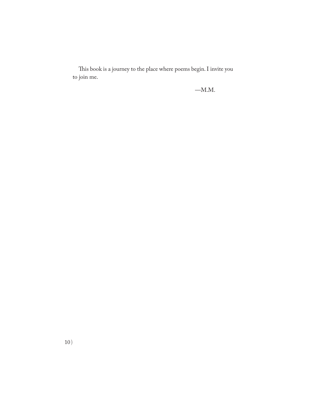This book is a journey to the place where poems begin. I invite you to join me.

 $-M.M.$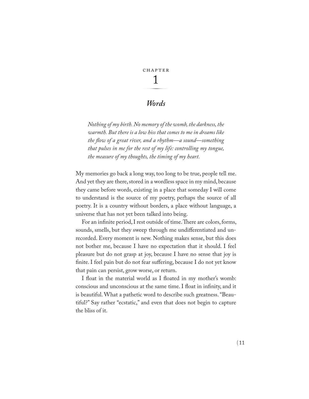# **CHAPTER** <sup>∂</sup>1

# *Words*

*Nothing of my birth. No memory of the womb, the darkness, the warmth. But there is a low hiss that comes to me in dreams like the flow of a great river, and a rhythm—a sound—something that pulses in me for the rest of my life: controlling my tongue, the measure of my thoughts, the timing of my heart.* 

My memories go back a long way, too long to be true, people tell me. And yet they are there, stored in a wordless space in my mind, because they came before words, existing in a place that someday I will come to understand is the source of my poetry, perhaps the source of all poetry. It is a country without borders, a place without language, a universe that has not yet been talked into being.

For an infinite period, I rest outside of time. There are colors, forms, sounds, smells, but they sweep through me undifferentiated and unrecorded. Every moment is new. Nothing makes sense, but this does not bother me, because I have no expectation that it should. I feel pleasure but do not grasp at joy, because I have no sense that joy is finite. I feel pain but do not fear suffering, because I do not yet know that pain can persist, grow worse, or return.

I float in the material world as I floated in my mother's womb: conscious and unconscious at the same time. I float in infinity, and it is beautiful. What a pathetic word to describe such greatness. "Beautiful?" Say rather "ecstatic," and even that does not begin to capture the bliss of it.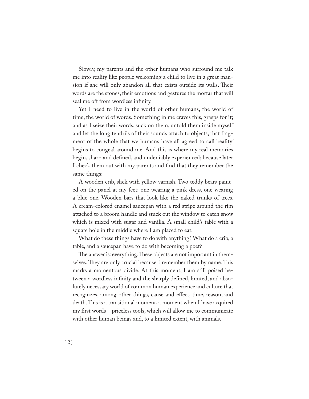Slowly, my parents and the other humans who surround me talk me into reality like people welcoming a child to live in a great mansion if she will only abandon all that exists outside its walls. Their words are the stones, their emotions and gestures the mortar that will seal me off from wordless infinity.

Yet I need to live in the world of other humans, the world of time, the world of words. Something in me craves this, grasps for it; and as I seize their words, suck on them, unfold them inside myself and let the long tendrils of their sounds attach to objects, that fragment of the whole that we humans have all agreed to call 'reality' begins to congeal around me. And this is where my real memories begin, sharp and defined, and undeniably experienced; because later I check them out with my parents and find that they remember the same things:

A wooden crib, slick with yellow varnish. Two teddy bears painted on the panel at my feet: one wearing a pink dress, one wearing a blue one. Wooden bars that look like the naked trunks of trees. A cream-colored enamel saucepan with a red stripe around the rim attached to a broom handle and stuck out the window to catch snow which is mixed with sugar and vanilla. A small child's table with a square hole in the middle where I am placed to eat.

What do these things have to do with anything? What do a crib, a table, and a saucepan have to do with becoming a poet?

The answer is: everything. These objects are not important in themselves. They are only crucial because I remember them by name. This marks a momentous divide. At this moment, I am still poised between a wordless infinity and the sharply defined, limited, and absolutely necessary world of common human experience and culture that recognizes, among other things, cause and effect, time, reason, and death. This is a transitional moment, a moment when I have acquired my first words—priceless tools, which will allow me to communicate with other human beings and, to a limited extent, with animals.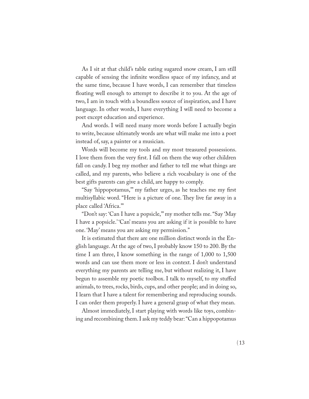As I sit at that child's table eating sugared snow cream, I am still capable of sensing the infinite wordless space of my infancy, and at the same time, because I have words, I can remember that timeless floating well enough to attempt to describe it to you. At the age of two, I am in touch with a boundless source of inspiration, and I have language. In other words, I have everything I will need to become a poet except education and experience.

And words. I will need many more words before I actually begin to write, because ultimately words are what will make me into a poet instead of, say, a painter or a musician.

Words will become my tools and my most treasured possessions. I love them from the very first. I fall on them the way other children fall on candy. I beg my mother and father to tell me what things are called, and my parents, who believe a rich vocabulary is one of the best gifts parents can give a child, are happy to comply.

"Say 'hippopotamus,'" my father urges, as he teaches me my first multisyllabic word. "Here is a picture of one. They live far away in a place called 'Africa.'"

"Don't say: 'Can I have a popsicle,'" my mother tells me. "Say 'May I have a popsicle.' 'Can' means you are asking if it is possible to have one. 'May' means you are asking my permission."

It is estimated that there are one million distinct words in the English language. At the age of two, I probably know 150 to 200. By the time I am three, I know something in the range of 1,000 to 1,500 words and can use them more or less in context. I don't understand everything my parents are telling me, but without realizing it, I have begun to assemble my poetic toolbox. I talk to myself, to my stuffed animals, to trees, rocks, birds, cups, and other people; and in doing so, I learn that I have a talent for remembering and reproducing sounds. I can order them properly. I have a general grasp of what they mean.

Almost immediately, I start playing with words like toys, combining and recombining them. I ask my teddy bear: "Can a hippopotamus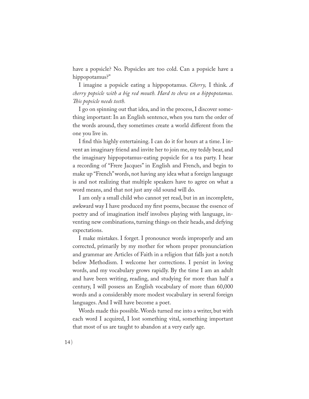have a popsicle? No. Popsicles are too cold. Can a popsicle have a hippopotamus?"

I imagine a popsicle eating a hippopotamus. *Cherry,* I think. *A cherry popsicle with a big red mouth. Hard to chew on a hippopotamus. This popsicle needs teeth.*

I go on spinning out that idea, and in the process, I discover something important: In an English sentence, when you turn the order of the words around, they sometimes create a world different from the one you live in.

I find this highly entertaining. I can do it for hours at a time. I invent an imaginary friend and invite her to join me, my teddy bear, and the imaginary hippopotamus-eating popsicle for a tea party. I hear a recording of "Frere Jacques" in English and French, and begin to make up "French" words, not having any idea what a foreign language is and not realizing that multiple speakers have to agree on what a word means, and that not just any old sound will do.

I am only a small child who cannot yet read, but in an incomplete, awkward way I have produced my first poems, because the essence of poetry and of imagination itself involves playing with language, inventing new combinations, turning things on their heads, and defying expectations.

I make mistakes. I forget. I pronounce words improperly and am corrected, primarily by my mother for whom proper pronunciation and grammar are Articles of Faith in a religion that falls just a notch below Methodism. I welcome her corrections. I persist in loving words, and my vocabulary grows rapidly. By the time I am an adult and have been writing, reading, and studying for more than half a century, I will possess an English vocabulary of more than 60,000 words and a considerably more modest vocabulary in several foreign languages. And I will have become a poet.

Words made this possible. Words turned me into a writer, but with each word I acquired, I lost something vital, something important that most of us are taught to abandon at a very early age.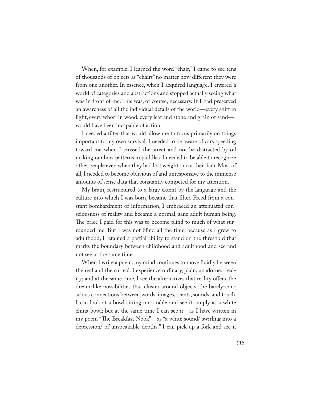When, for example, I learned the word "chair," I came to see tens of thousands of objects as "chairs" no matter how different they were from one another. In essence, when I acquired language, I entered a world of categories and abstractions and stopped actually seeing what was in front of me. This was, of course, necessary. If I had preserved an awareness of all the individual details of the world—every shift in light, every whorl in wood, every leaf and stone and grain of sand—I would have been incapable of action.

I needed a filter that would allow me to focus primarily on things important to my own survival. I needed to be aware of cars speeding toward me when I crossed the street and not be distracted by oil making rainbow patterns in puddles. I needed to be able to recognize other people even when they had lost weight or cut their hair. Most of all, I needed to become oblivious of and unresponsive to the immense amounts of sense data that constantly competed for my attention.

My brain, restructured to a large extent by the language and the culture into which I was born, became that filter. Freed from a constant bombardment of information, I embraced an attenuated consciousness of reality and became a normal, sane adult human being. The price I paid for this was to become blind to much of what surrounded me. But I was not blind all the time, because as I grew to adulthood, I retained a partial ability to stand on the threshold that marks the boundary between childhood and adulthood and see and not see at the same time.

When I write a poem, my mind continues to move fluidly between the real and the surreal. I experience ordinary, plain, unadorned reality; and at the same time, I see the alternatives that reality offers, the dream-like possibilities that cluster around objects, the barely-conscious connections between words, images, scents, sounds, and touch. I can look at a bowl sitting on a table and see it simply as a white china bowl; but at the same time I can see it—as I have written in my poem "The Breakfast Nook"—as "a white sound/ swirling into a depression/ of unspeakable depths." I can pick up a fork and see it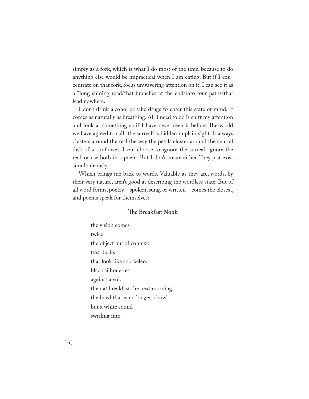simply as a fork, which is what I do most of the time, because to do anything else would be impractical when I am eating. But if I concentrate on that fork, focus unwavering attention on it, I can see it as a "long shining road/that branches at the end/into four paths/that lead nowhere."

I don't drink alcohol or take drugs to enter this state of mind. It comes as naturally as breathing. All I need to do is shift my attention and look at something as if I have never seen it before. The world we have agreed to call "the surreal" is hidden in plain sight. It always clusters around the real the way the petals cluster around the central disk of a sunflower. I can choose to ignore the surreal, ignore the real, or use both in a poem. But I don't create either. They just exist simultaneously.

Which brings me back to words. Valuable as they are, words, by their very nature, aren't good at describing the wordless state. But of all word forms, poetry—spoken, sung, or written—comes the closest, and poems speak for themselves:

#### **The Breakfast Nook**

the vision comes twice the object out of context: first ducks that look like snorkelers black silhouettes against a void then at breakfast the next morning the bowl that is no longer a bowl but a white sound swirling into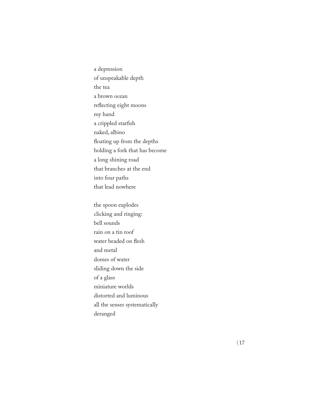a depression of unspeakable depth the tea a brown ocean reflecting eight moons my hand a crippled starfish naked, albino floating up from the depths holding a fork that has become a long shining road that branches at the end into four paths that lead nowhere

the spoon explodes clicking and ringing: bell sounds rain on a tin roof water beaded on flesh and metal domes of water sliding down the side of a glass miniature worlds distorted and luminous all the senses systematically deranged